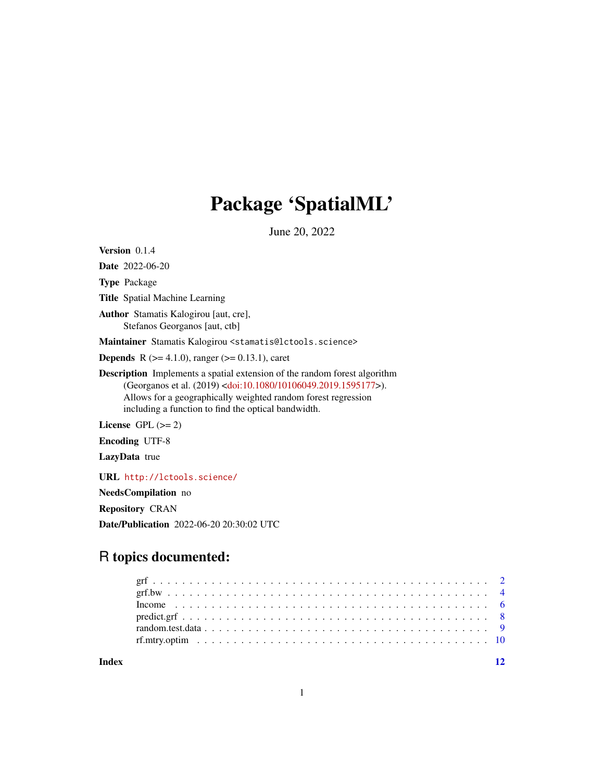# Package 'SpatialML'

June 20, 2022

<span id="page-0-0"></span>Version 0.1.4

Date 2022-06-20

Type Package

Title Spatial Machine Learning

Author Stamatis Kalogirou [aut, cre], Stefanos Georganos [aut, ctb]

Maintainer Stamatis Kalogirou <stamatis@lctools.science>

**Depends** R ( $>= 4.1.0$ ), ranger ( $>= 0.13.1$ ), caret

Description Implements a spatial extension of the random forest algorithm (Georganos et al. (2019) [<doi:10.1080/10106049.2019.1595177>](https://doi.org/10.1080/10106049.2019.1595177)). Allows for a geographically weighted random forest regression including a function to find the optical bandwidth.

License GPL  $(>= 2)$ 

Encoding UTF-8

LazyData true

URL <http://lctools.science/>

NeedsCompilation no

Repository CRAN

Date/Publication 2022-06-20 20:30:02 UTC

# R topics documented:

**Index** [12](#page-11-0)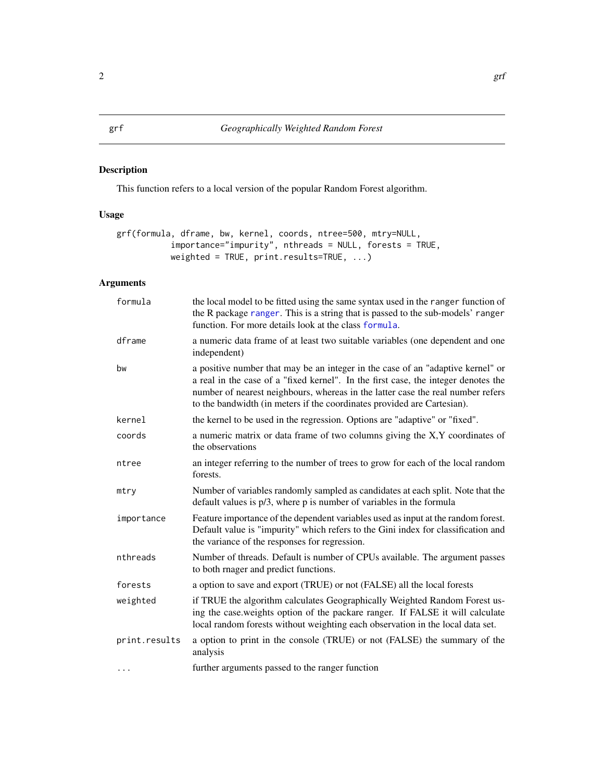# <span id="page-1-1"></span><span id="page-1-0"></span>Description

This function refers to a local version of the popular Random Forest algorithm.

# Usage

```
grf(formula, dframe, bw, kernel, coords, ntree=500, mtry=NULL,
           importance="impurity", nthreads = NULL, forests = TRUE,
          weighted = TRUE, print.results=TRUE, ...)
```
# Arguments

| formula       | the local model to be fitted using the same syntax used in the ranger function of<br>the R package ranger. This is a string that is passed to the sub-models' ranger<br>function. For more details look at the class formula.                                                                                                       |
|---------------|-------------------------------------------------------------------------------------------------------------------------------------------------------------------------------------------------------------------------------------------------------------------------------------------------------------------------------------|
| dframe        | a numeric data frame of at least two suitable variables (one dependent and one<br>independent)                                                                                                                                                                                                                                      |
| bw            | a positive number that may be an integer in the case of an "adaptive kernel" or<br>a real in the case of a "fixed kernel". In the first case, the integer denotes the<br>number of nearest neighbours, whereas in the latter case the real number refers<br>to the bandwidth (in meters if the coordinates provided are Cartesian). |
| kernel        | the kernel to be used in the regression. Options are "adaptive" or "fixed".                                                                                                                                                                                                                                                         |
| coords        | a numeric matrix or data frame of two columns giving the X,Y coordinates of<br>the observations                                                                                                                                                                                                                                     |
| ntree         | an integer referring to the number of trees to grow for each of the local random<br>forests.                                                                                                                                                                                                                                        |
| mtry          | Number of variables randomly sampled as candidates at each split. Note that the<br>default values is $p/3$ , where p is number of variables in the formula                                                                                                                                                                          |
| importance    | Feature importance of the dependent variables used as input at the random forest.<br>Default value is "impurity" which refers to the Gini index for classification and<br>the variance of the responses for regression.                                                                                                             |
| nthreads      | Number of threads. Default is number of CPUs available. The argument passes<br>to both rnager and predict functions.                                                                                                                                                                                                                |
| forests       | a option to save and export (TRUE) or not (FALSE) all the local forests                                                                                                                                                                                                                                                             |
| weighted      | if TRUE the algorithm calculates Geographically Weighted Random Forest us-<br>ing the case.weights option of the packare ranger. If FALSE it will calculate<br>local random forests without weighting each observation in the local data set.                                                                                       |
| print.results | a option to print in the console (TRUE) or not (FALSE) the summary of the<br>analysis                                                                                                                                                                                                                                               |
| .             | further arguments passed to the ranger function                                                                                                                                                                                                                                                                                     |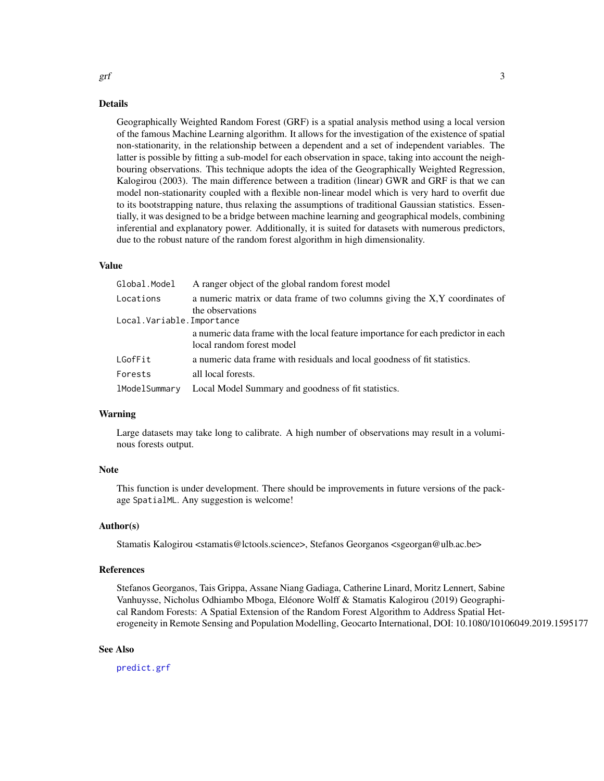# Details

Geographically Weighted Random Forest (GRF) is a spatial analysis method using a local version of the famous Machine Learning algorithm. It allows for the investigation of the existence of spatial non-stationarity, in the relationship between a dependent and a set of independent variables. The latter is possible by fitting a sub-model for each observation in space, taking into account the neighbouring observations. This technique adopts the idea of the Geographically Weighted Regression, Kalogirou (2003). The main difference between a tradition (linear) GWR and GRF is that we can model non-stationarity coupled with a flexible non-linear model which is very hard to overfit due to its bootstrapping nature, thus relaxing the assumptions of traditional Gaussian statistics. Essentially, it was designed to be a bridge between machine learning and geographical models, combining inferential and explanatory power. Additionally, it is suited for datasets with numerous predictors, due to the robust nature of the random forest algorithm in high dimensionality.

# Value

| Global.Model              | A ranger object of the global random forest model                                                              |
|---------------------------|----------------------------------------------------------------------------------------------------------------|
| Locations                 | a numeric matrix or data frame of two columns giving the X,Y coordinates of<br>the observations                |
| Local.Variable.Importance |                                                                                                                |
|                           | a numeric data frame with the local feature importance for each predictor in each<br>local random forest model |
| LGofFit                   | a numeric data frame with residuals and local goodness of fit statistics.                                      |
| Forests                   | all local forests.                                                                                             |
| lModelSummary             | Local Model Summary and goodness of fit statistics.                                                            |

# Warning

Large datasets may take long to calibrate. A high number of observations may result in a voluminous forests output.

### Note

This function is under development. There should be improvements in future versions of the package SpatialML. Any suggestion is welcome!

# Author(s)

Stamatis Kalogirou <stamatis@lctools.science>, Stefanos Georganos <sgeorgan@ulb.ac.be>

## References

Stefanos Georganos, Tais Grippa, Assane Niang Gadiaga, Catherine Linard, Moritz Lennert, Sabine Vanhuysse, Nicholus Odhiambo Mboga, Eléonore Wolff & Stamatis Kalogirou (2019) Geographical Random Forests: A Spatial Extension of the Random Forest Algorithm to Address Spatial Heterogeneity in Remote Sensing and Population Modelling, Geocarto International, DOI: 10.1080/10106049.2019.1595177

# See Also

[predict.grf](#page-7-1)

<span id="page-2-0"></span> $grf$  3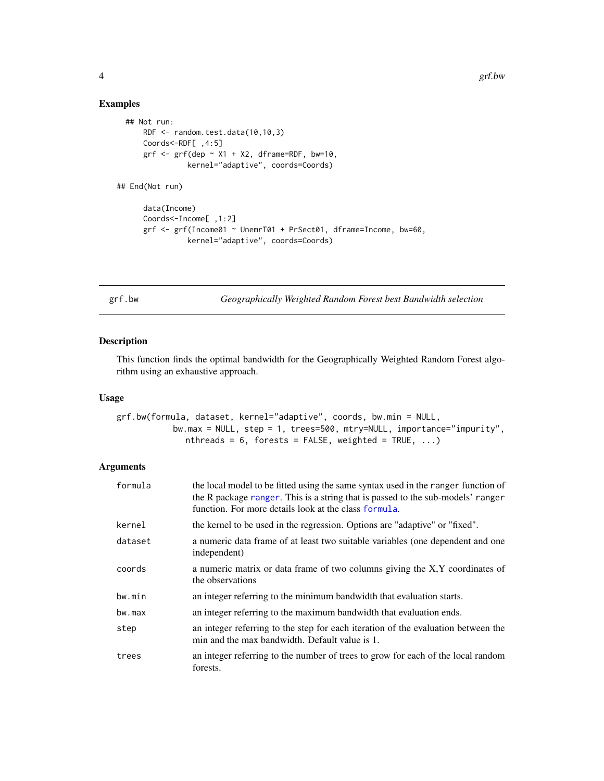# Examples

```
## Not run:
      RDF <- random.test.data(10,10,3)
      Coords<-RDF[ ,4:5]
      grf \leftarrow grf(dep \sim X1 + X2, dframe=RDF, bw=10,kernel="adaptive", coords=Coords)
## End(Not run)
      data(Income)
      Coords<-Income[ ,1:2]
      grf <- grf(Income01 ~ UnemrT01 + PrSect01, dframe=Income, bw=60,
                kernel="adaptive", coords=Coords)
```
grf.bw *Geographically Weighted Random Forest best Bandwidth selection*

# Description

This function finds the optimal bandwidth for the Geographically Weighted Random Forest algorithm using an exhaustive approach.

#### Usage

```
grf.bw(formula, dataset, kernel="adaptive", coords, bw.min = NULL,
           bw.max = NULL, step = 1, trees=500, mtry=NULL, importance="impurity",
              nthreads = 6, forests = FALSE, weighted = TRUE, ...)
```
# Arguments

| formula | the local model to be fitted using the same syntax used in the ranger function of<br>the R package ranger. This is a string that is passed to the sub-models' ranger<br>function. For more details look at the class formula. |
|---------|-------------------------------------------------------------------------------------------------------------------------------------------------------------------------------------------------------------------------------|
| kernel  | the kernel to be used in the regression. Options are "adaptive" or "fixed".                                                                                                                                                   |
| dataset | a numeric data frame of at least two suitable variables (one dependent and one<br>independent)                                                                                                                                |
| coords  | a numeric matrix or data frame of two columns giving the X,Y coordinates of<br>the observations                                                                                                                               |
| bw.min  | an integer referring to the minimum bandwidth that evaluation starts.                                                                                                                                                         |
| bw.max  | an integer referring to the maximum bandwidth that evaluation ends.                                                                                                                                                           |
| step    | an integer referring to the step for each iteration of the evaluation between the<br>min and the max bandwidth. Default value is 1.                                                                                           |
| trees   | an integer referring to the number of trees to grow for each of the local random<br>forests.                                                                                                                                  |

<span id="page-3-0"></span>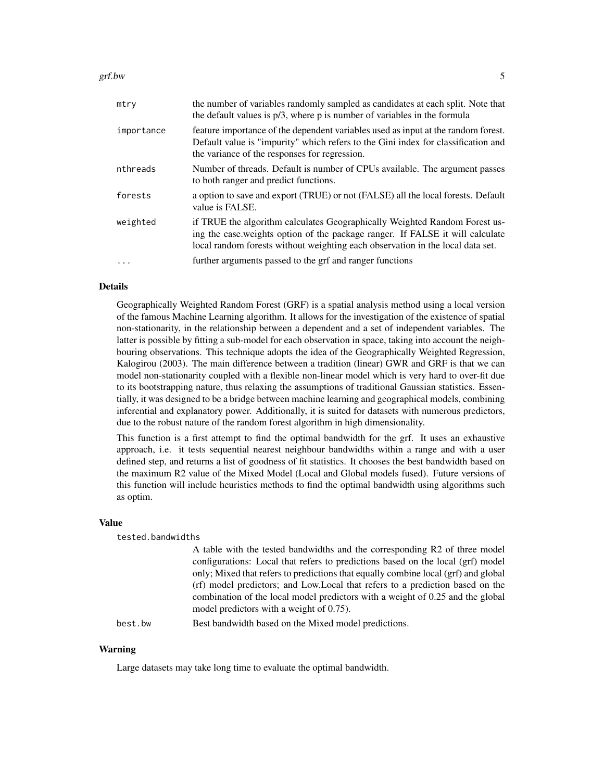#### $grf.bw$  5

| mtry       | the number of variables randomly sampled as candidates at each split. Note that<br>the default values is $p/3$ , where p is number of variables in the formula                                                                                |
|------------|-----------------------------------------------------------------------------------------------------------------------------------------------------------------------------------------------------------------------------------------------|
| importance | feature importance of the dependent variables used as input at the random forest.<br>Default value is "impurity" which refers to the Gini index for classification and<br>the variance of the responses for regression.                       |
| nthreads   | Number of threads. Default is number of CPUs available. The argument passes<br>to both ranger and predict functions.                                                                                                                          |
| forests    | a option to save and export (TRUE) or not (FALSE) all the local forests. Default<br>value is FALSE.                                                                                                                                           |
| weighted   | if TRUE the algorithm calculates Geographically Weighted Random Forest us-<br>ing the case.weights option of the package ranger. If FALSE it will calculate<br>local random forests without weighting each observation in the local data set. |
|            | further arguments passed to the grf and ranger functions                                                                                                                                                                                      |

# Details

Geographically Weighted Random Forest (GRF) is a spatial analysis method using a local version of the famous Machine Learning algorithm. It allows for the investigation of the existence of spatial non-stationarity, in the relationship between a dependent and a set of independent variables. The latter is possible by fitting a sub-model for each observation in space, taking into account the neighbouring observations. This technique adopts the idea of the Geographically Weighted Regression, Kalogirou (2003). The main difference between a tradition (linear) GWR and GRF is that we can model non-stationarity coupled with a flexible non-linear model which is very hard to over-fit due to its bootstrapping nature, thus relaxing the assumptions of traditional Gaussian statistics. Essentially, it was designed to be a bridge between machine learning and geographical models, combining inferential and explanatory power. Additionally, it is suited for datasets with numerous predictors, due to the robust nature of the random forest algorithm in high dimensionality.

This function is a first attempt to find the optimal bandwidth for the grf. It uses an exhaustive approach, i.e. it tests sequential nearest neighbour bandwidths within a range and with a user defined step, and returns a list of goodness of fit statistics. It chooses the best bandwidth based on the maximum R2 value of the Mixed Model (Local and Global models fused). Future versions of this function will include heuristics methods to find the optimal bandwidth using algorithms such as optim.

#### Value

tested.bandwidths

A table with the tested bandwidths and the corresponding R2 of three model configurations: Local that refers to predictions based on the local (grf) model only; Mixed that refers to predictions that equally combine local (grf) and global (rf) model predictors; and Low.Local that refers to a prediction based on the combination of the local model predictors with a weight of 0.25 and the global model predictors with a weight of 0.75).

best.bw Best bandwidth based on the Mixed model predictions.

# Warning

Large datasets may take long time to evaluate the optimal bandwidth.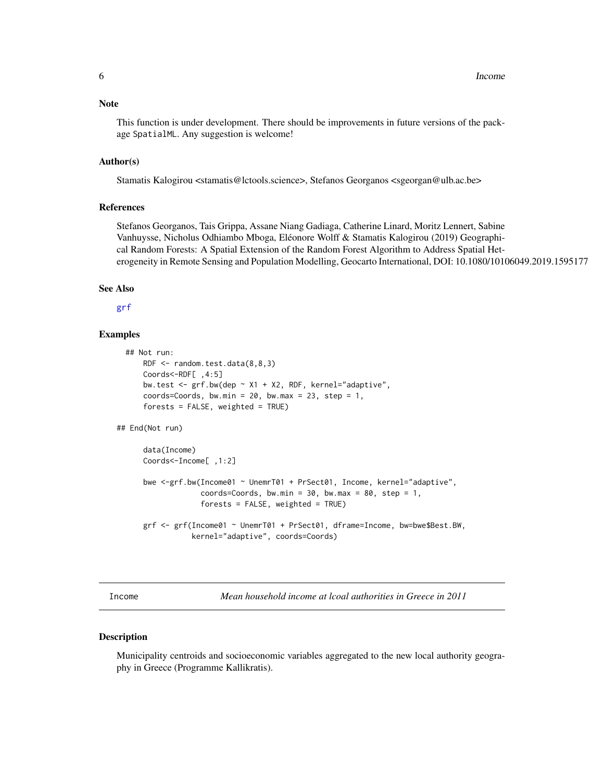#### <span id="page-5-0"></span>**Note**

This function is under development. There should be improvements in future versions of the package SpatialML. Any suggestion is welcome!

# Author(s)

Stamatis Kalogirou <stamatis@lctools.science>, Stefanos Georganos <sgeorgan@ulb.ac.be>

### References

Stefanos Georganos, Tais Grippa, Assane Niang Gadiaga, Catherine Linard, Moritz Lennert, Sabine Vanhuysse, Nicholus Odhiambo Mboga, Eléonore Wolff & Stamatis Kalogirou (2019) Geographical Random Forests: A Spatial Extension of the Random Forest Algorithm to Address Spatial Heterogeneity in Remote Sensing and Population Modelling, Geocarto International, DOI: 10.1080/10106049.2019.1595177

# See Also

# [grf](#page-1-1)

# Examples

```
## Not run:
     RDF <- random.test.data(8,8,3)
     Coords<-RDF[ ,4:5]
     bw.test <- grf.bw(dep ~ X1 + X2, RDF, kernel="adaptive",
      coords=Coords, bw.min = 20, bw.max = 23, step = 1,
      forests = FALSE, weighted = TRUE)
## End(Not run)
      data(Income)
     Coords<-Income[ ,1:2]
```

```
bwe <-grf.bw(Income01 ~ UnemrT01 + PrSect01, Income, kernel="adaptive",
             coords=Coords, bw.min = 30, bw.max = 80, step = 1,
             forests = FALSE, weighted = TRUE)
```

```
grf <- grf(Income01 ~ UnemrT01 + PrSect01, dframe=Income, bw=bwe$Best.BW,
           kernel="adaptive", coords=Coords)
```
Income *Mean household income at lcoal authorities in Greece in 2011*

#### Description

Municipality centroids and socioeconomic variables aggregated to the new local authority geography in Greece (Programme Kallikratis).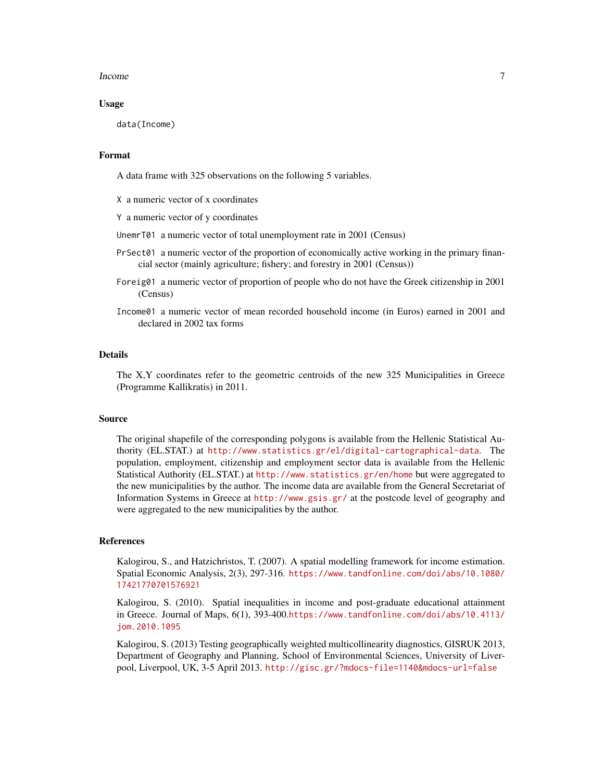#### Income 7

# Usage

data(Income)

#### Format

A data frame with 325 observations on the following 5 variables.

X a numeric vector of x coordinates

Y a numeric vector of y coordinates

UnemrT01 a numeric vector of total unemployment rate in 2001 (Census)

- PrSect01 a numeric vector of the proportion of economically active working in the primary financial sector (mainly agriculture; fishery; and forestry in 2001 (Census))
- Foreig01 a numeric vector of proportion of people who do not have the Greek citizenship in 2001 (Census)
- Income01 a numeric vector of mean recorded household income (in Euros) earned in 2001 and declared in 2002 tax forms

# Details

The X,Y coordinates refer to the geometric centroids of the new 325 Municipalities in Greece (Programme Kallikratis) in 2011.

# Source

The original shapefile of the corresponding polygons is available from the Hellenic Statistical Authority (EL.STAT.) at <http://www.statistics.gr/el/digital-cartographical-data>. The population, employment, citizenship and employment sector data is available from the Hellenic Statistical Authority (EL.STAT.) at <http://www.statistics.gr/en/home> but were aggregated to the new municipalities by the author. The income data are available from the General Secretariat of Information Systems in Greece at <http://www.gsis.gr/> at the postcode level of geography and were aggregated to the new municipalities by the author.

#### References

Kalogirou, S., and Hatzichristos, T. (2007). A spatial modelling framework for income estimation. Spatial Economic Analysis, 2(3), 297-316. [https://www.tandfonline.com/doi/abs/10.1080/](https://www.tandfonline.com/doi/abs/10.1080/17421770701576921) [17421770701576921](https://www.tandfonline.com/doi/abs/10.1080/17421770701576921)

Kalogirou, S. (2010). Spatial inequalities in income and post-graduate educational attainment in Greece. Journal of Maps, 6(1), 393-400.[https://www.tandfonline.com/doi/abs/10.4113/](https://www.tandfonline.com/doi/abs/10.4113/jom.2010.1095) [jom.2010.1095](https://www.tandfonline.com/doi/abs/10.4113/jom.2010.1095)

Kalogirou, S. (2013) Testing geographically weighted multicollinearity diagnostics, GISRUK 2013, Department of Geography and Planning, School of Environmental Sciences, University of Liverpool, Liverpool, UK, 3-5 April 2013. <http://gisc.gr/?mdocs-file=1140&mdocs-url=false>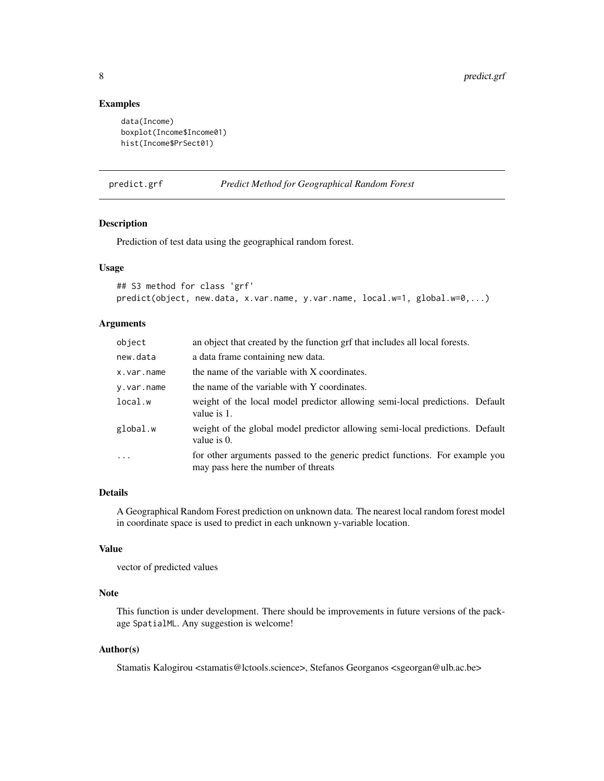# <span id="page-7-0"></span>Examples

```
data(Income)
boxplot(Income$Income01)
hist(Income$PrSect01)
```
<span id="page-7-1"></span>

| predict.grf | <b>Predict Method for Geographical Random Forest</b> |  |
|-------------|------------------------------------------------------|--|
|-------------|------------------------------------------------------|--|

# Description

Prediction of test data using the geographical random forest.

# Usage

```
## S3 method for class 'grf'
predict(object, new.data, x.var.name, y.var.name, local.w=1, global.w=0,...)
```
# Arguments

| object     | an object that created by the function grf that includes all local forests.                                         |
|------------|---------------------------------------------------------------------------------------------------------------------|
| new.data   | a data frame containing new data.                                                                                   |
| x.var.name | the name of the variable with X coordinates.                                                                        |
| y.var.name | the name of the variable with Y coordinates.                                                                        |
| local.w    | weight of the local model predictor allowing semi-local predictions. Default<br>value is 1.                         |
| global.w   | weight of the global model predictor allowing semi-local predictions. Default<br>value is $0$ .                     |
| $\ddots$   | for other arguments passed to the generic predict functions. For example you<br>may pass here the number of threats |

# Details

A Geographical Random Forest prediction on unknown data. The nearest local random forest model in coordinate space is used to predict in each unknown y-variable location.

# Value

vector of predicted values

### Note

This function is under development. There should be improvements in future versions of the package SpatialML. Any suggestion is welcome!

# Author(s)

Stamatis Kalogirou <stamatis@lctools.science>, Stefanos Georganos <sgeorgan@ulb.ac.be>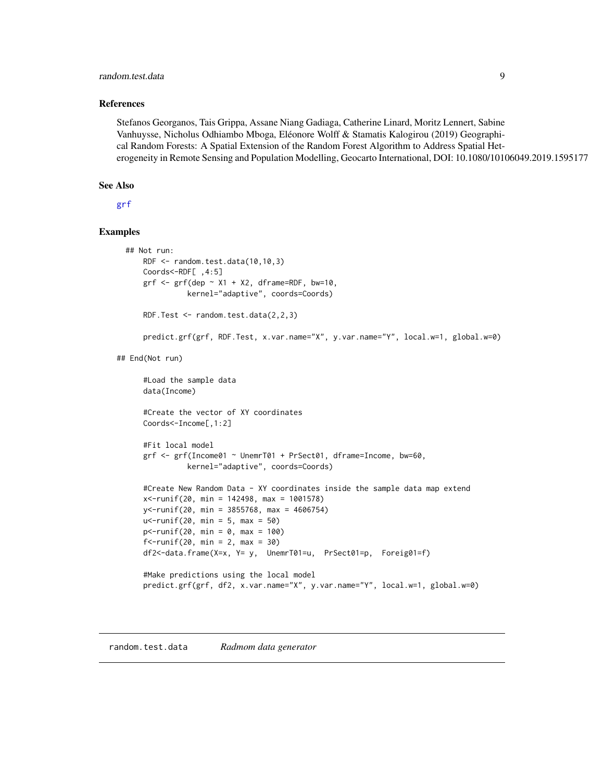# <span id="page-8-0"></span>random.test.data 9

# References

Stefanos Georganos, Tais Grippa, Assane Niang Gadiaga, Catherine Linard, Moritz Lennert, Sabine Vanhuysse, Nicholus Odhiambo Mboga, Eléonore Wolff & Stamatis Kalogirou (2019) Geographical Random Forests: A Spatial Extension of the Random Forest Algorithm to Address Spatial Heterogeneity in Remote Sensing and Population Modelling, Geocarto International, DOI: 10.1080/10106049.2019.1595177

# See Also

[grf](#page-1-1)

# Examples

```
## Not run:
     RDF <- random.test.data(10,10,3)
     Coords<-RDF[ ,4:5]
     grf \leftarrow grf(dep \sim X1 + X2, dframe=RDF, bw=10,kernel="adaptive", coords=Coords)
     RDF.Test <- random.test.data(2,2,3)
     predict.grf(grf, RDF.Test, x.var.name="X", y.var.name="Y", local.w=1, global.w=0)
## End(Not run)
      #Load the sample data
      data(Income)
      #Create the vector of XY coordinates
     Coords<-Income[,1:2]
     #Fit local model
      grf <- grf(Income01 ~ UnemrT01 + PrSect01, dframe=Income, bw=60,
                kernel="adaptive", coords=Coords)
      #Create New Random Data - XY coordinates inside the sample data map extend
      x<-runif(20, min = 142498, max = 1001578)
     y<-runif(20, min = 3855768, max = 4606754)
      u <- runif(20, min = 5, max = 50)
      p - runif(20, min = 0, max = 100)
      f <- runif(20, min = 2, max = 30)
      df2<-data.frame(X=x, Y= y, UnemrT01=u, PrSect01=p, Foreig01=f)
      #Make predictions using the local model
      predict.grf(grf, df2, x.var.name="X", y.var.name="Y", local.w=1, global.w=0)
```
#### random.test.data *Radmom data generator*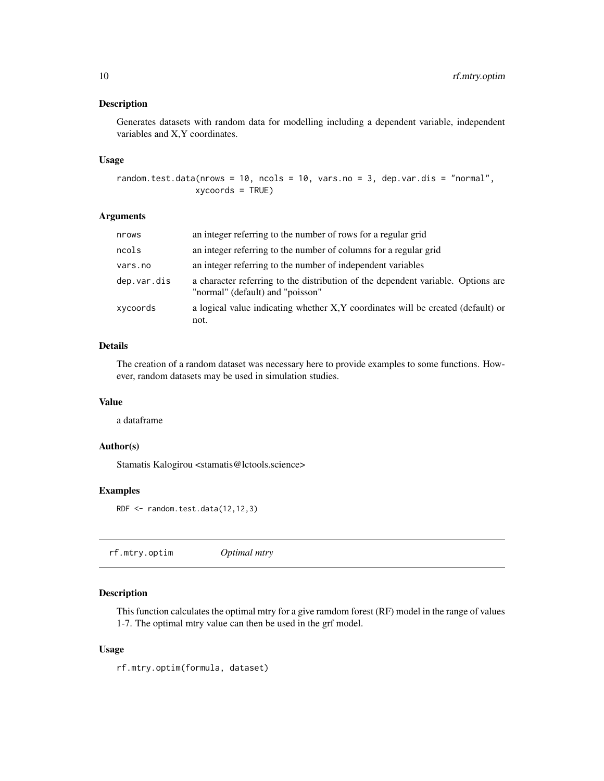# <span id="page-9-0"></span>Description

Generates datasets with random data for modelling including a dependent variable, independent variables and X,Y coordinates.

#### Usage

```
random.test.data(nrows = 10, ncols = 10, vars.no = 3, dep.var.dis = "normal",
                xycoords = TRUE)
```
# Arguments

| nrows       | an integer referring to the number of rows for a regular grid                                                        |
|-------------|----------------------------------------------------------------------------------------------------------------------|
| ncols       | an integer referring to the number of columns for a regular grid                                                     |
| vars.no     | an integer referring to the number of independent variables                                                          |
| dep.var.dis | a character referring to the distribution of the dependent variable. Options are<br>"normal" (default) and "poisson" |
| xycoords    | a logical value indicating whether X,Y coordinates will be created (default) or<br>not.                              |

# Details

The creation of a random dataset was necessary here to provide examples to some functions. However, random datasets may be used in simulation studies.

# Value

a dataframe

# Author(s)

Stamatis Kalogirou <stamatis@lctools.science>

# Examples

```
RDF <- random.test.data(12,12,3)
```

|--|--|--|

# Description

This function calculates the optimal mtry for a give ramdom forest (RF) model in the range of values 1-7. The optimal mtry value can then be used in the grf model.

# Usage

rf.mtry.optim(formula, dataset)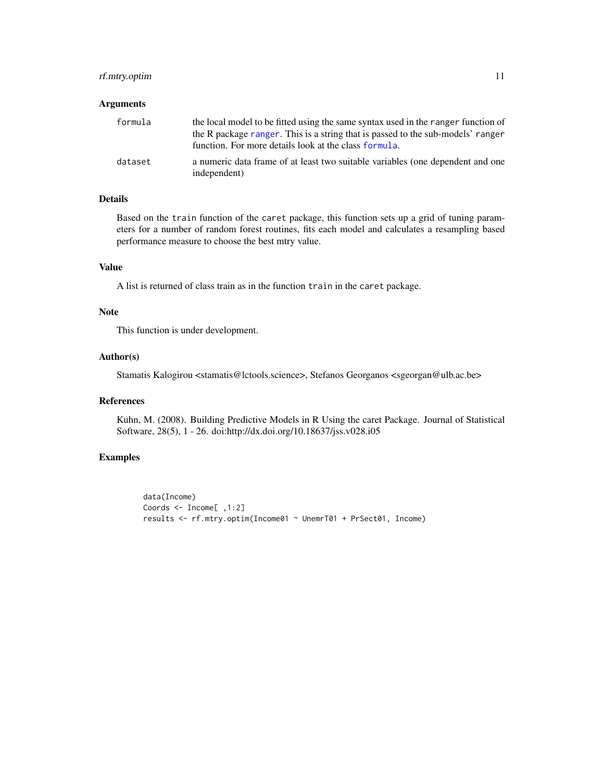# <span id="page-10-0"></span>rf.mtry.optim 11

# Arguments

| formula | the local model to be fitted using the same syntax used in the ranger function of<br>the R package ranger. This is a string that is passed to the sub-models' ranger<br>function. For more details look at the class formula. |
|---------|-------------------------------------------------------------------------------------------------------------------------------------------------------------------------------------------------------------------------------|
| dataset | a numeric data frame of at least two suitable variables (one dependent and one<br>independent)                                                                                                                                |

# Details

Based on the train function of the caret package, this function sets up a grid of tuning parameters for a number of random forest routines, fits each model and calculates a resampling based performance measure to choose the best mtry value.

# Value

A list is returned of class train as in the function train in the caret package.

### Note

This function is under development.

# Author(s)

Stamatis Kalogirou <stamatis@lctools.science>, Stefanos Georganos <sgeorgan@ulb.ac.be>

# References

Kuhn, M. (2008). Building Predictive Models in R Using the caret Package. Journal of Statistical Software, 28(5), 1 - 26. doi:http://dx.doi.org/10.18637/jss.v028.i05

# Examples

```
data(Income)
Coords <- Income[ ,1:2]
results <- rf.mtry.optim(Income01 ~ UnemrT01 + PrSect01, Income)
```